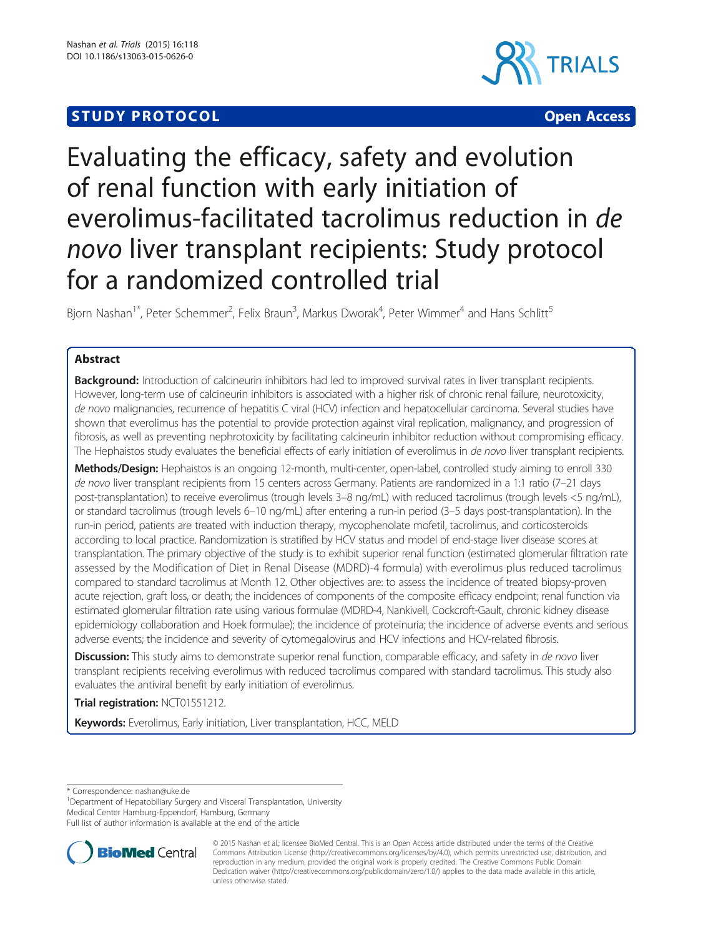# **STUDY PROTOCOL CONSUMING THE CONSUMING OPEN ACCESS**





# Evaluating the efficacy, safety and evolution of renal function with early initiation of everolimus-facilitated tacrolimus reduction in de novo liver transplant recipients: Study protocol for a randomized controlled trial

Bjorn Nashan<sup>1\*</sup>, Peter Schemmer<sup>2</sup>, Felix Braun<sup>3</sup>, Markus Dworak<sup>4</sup>, Peter Wimmer<sup>4</sup> and Hans Schlitt<sup>5</sup>

# Abstract

Background: Introduction of calcineurin inhibitors had led to improved survival rates in liver transplant recipients. However, long-term use of calcineurin inhibitors is associated with a higher risk of chronic renal failure, neurotoxicity, de novo malignancies, recurrence of hepatitis C viral (HCV) infection and hepatocellular carcinoma. Several studies have shown that everolimus has the potential to provide protection against viral replication, malignancy, and progression of fibrosis, as well as preventing nephrotoxicity by facilitating calcineurin inhibitor reduction without compromising efficacy. The Hephaistos study evaluates the beneficial effects of early initiation of everolimus in de novo liver transplant recipients.

Methods/Design: Hephaistos is an ongoing 12-month, multi-center, open-label, controlled study aiming to enroll 330 de novo liver transplant recipients from 15 centers across Germany. Patients are randomized in a 1:1 ratio (7-21 days post-transplantation) to receive everolimus (trough levels 3–8 ng/mL) with reduced tacrolimus (trough levels <5 ng/mL), or standard tacrolimus (trough levels 6–10 ng/mL) after entering a run-in period (3–5 days post-transplantation). In the run-in period, patients are treated with induction therapy, mycophenolate mofetil, tacrolimus, and corticosteroids according to local practice. Randomization is stratified by HCV status and model of end-stage liver disease scores at transplantation. The primary objective of the study is to exhibit superior renal function (estimated glomerular filtration rate assessed by the Modification of Diet in Renal Disease (MDRD)-4 formula) with everolimus plus reduced tacrolimus compared to standard tacrolimus at Month 12. Other objectives are: to assess the incidence of treated biopsy-proven acute rejection, graft loss, or death; the incidences of components of the composite efficacy endpoint; renal function via estimated glomerular filtration rate using various formulae (MDRD-4, Nankivell, Cockcroft-Gault, chronic kidney disease epidemiology collaboration and Hoek formulae); the incidence of proteinuria; the incidence of adverse events and serious adverse events; the incidence and severity of cytomegalovirus and HCV infections and HCV-related fibrosis.

Discussion: This study aims to demonstrate superior renal function, comparable efficacy, and safety in de novo liver transplant recipients receiving everolimus with reduced tacrolimus compared with standard tacrolimus. This study also evaluates the antiviral benefit by early initiation of everolimus.

Trial registration: [NCT01551212.](https://clinicaltrials.gov/ct2/show/NCT01551212?term=NCT01551212&rank=1)

Keywords: Everolimus, Early initiation, Liver transplantation, HCC, MELD

\* Correspondence: [nashan@uke.de](mailto:nashan@uke.de) <sup>1</sup>

<sup>1</sup>Department of Hepatobiliary Surgery and Visceral Transplantation, University

Medical Center Hamburg-Eppendorf, Hamburg, Germany

Full list of author information is available at the end of the article



<sup>© 2015</sup> Nashan et al.; licensee BioMed Central. This is an Open Access article distributed under the terms of the Creative Commons Attribution License [\(http://creativecommons.org/licenses/by/4.0\)](http://creativecommons.org/licenses/by/4.0), which permits unrestricted use, distribution, and reproduction in any medium, provided the original work is properly credited. The Creative Commons Public Domain Dedication waiver [\(http://creativecommons.org/publicdomain/zero/1.0/](http://creativecommons.org/publicdomain/zero/1.0/)) applies to the data made available in this article, unless otherwise stated.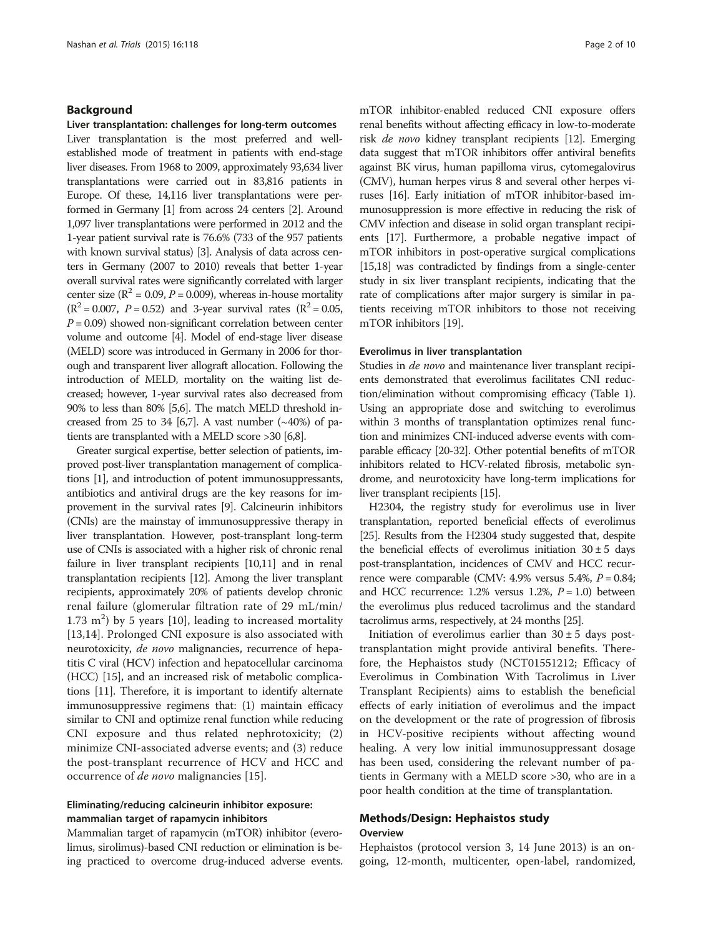# Background

Liver transplantation: challenges for long-term outcomes

Liver transplantation is the most preferred and wellestablished mode of treatment in patients with end-stage liver diseases. From 1968 to 2009, approximately 93,634 liver transplantations were carried out in 83,816 patients in Europe. Of these, 14,116 liver transplantations were performed in Germany [\[1\]](#page-9-0) from across 24 centers [\[2](#page-9-0)]. Around 1,097 liver transplantations were performed in 2012 and the 1-year patient survival rate is 76.6% (733 of the 957 patients with known survival status) [\[3](#page-9-0)]. Analysis of data across centers in Germany (2007 to 2010) reveals that better 1-year overall survival rates were significantly correlated with larger center size ( $R^2$  = 0.09, *P* = 0.009), whereas in-house mortality  $(R^2 = 0.007, P = 0.52)$  and 3-year survival rates  $(R^2 = 0.05, P = 0.05)$  $P = 0.09$ ) showed non-significant correlation between center volume and outcome [\[4\]](#page-9-0). Model of end-stage liver disease (MELD) score was introduced in Germany in 2006 for thorough and transparent liver allograft allocation. Following the introduction of MELD, mortality on the waiting list decreased; however, 1-year survival rates also decreased from 90% to less than 80% [[5,6\]](#page-9-0). The match MELD threshold in-creased from 25 to 34 [\[6,7\]](#page-9-0). A vast number  $(\sim40\%)$  of patients are transplanted with a MELD score >30 [\[6,8](#page-9-0)].

Greater surgical expertise, better selection of patients, improved post-liver transplantation management of complications [\[1\]](#page-9-0), and introduction of potent immunosuppressants, antibiotics and antiviral drugs are the key reasons for improvement in the survival rates [\[9\]](#page-9-0). Calcineurin inhibitors (CNIs) are the mainstay of immunosuppressive therapy in liver transplantation. However, post-transplant long-term use of CNIs is associated with a higher risk of chronic renal failure in liver transplant recipients [\[10,11\]](#page-9-0) and in renal transplantation recipients [[12](#page-9-0)]. Among the liver transplant recipients, approximately 20% of patients develop chronic renal failure (glomerular filtration rate of 29 mL/min/  $1.73 \text{ m}^2$ ) by 5 years [[10\]](#page-9-0), leading to increased mortality [[13,14](#page-9-0)]. Prolonged CNI exposure is also associated with neurotoxicity, *de novo* malignancies, recurrence of hepatitis C viral (HCV) infection and hepatocellular carcinoma (HCC) [[15](#page-9-0)], and an increased risk of metabolic complications [\[11\]](#page-9-0). Therefore, it is important to identify alternate immunosuppressive regimens that: (1) maintain efficacy similar to CNI and optimize renal function while reducing CNI exposure and thus related nephrotoxicity; (2) minimize CNI-associated adverse events; and (3) reduce the post-transplant recurrence of HCV and HCC and occurrence of *de novo* malignancies [\[15](#page-9-0)].

# Eliminating/reducing calcineurin inhibitor exposure: mammalian target of rapamycin inhibitors

Mammalian target of rapamycin (mTOR) inhibitor (everolimus, sirolimus)-based CNI reduction or elimination is being practiced to overcome drug-induced adverse events. mTOR inhibitor-enabled reduced CNI exposure offers renal benefits without affecting efficacy in low-to-moderate risk de novo kidney transplant recipients [\[12\]](#page-9-0). Emerging data suggest that mTOR inhibitors offer antiviral benefits against BK virus, human papilloma virus, cytomegalovirus (CMV), human herpes virus 8 and several other herpes viruses [[16\]](#page-9-0). Early initiation of mTOR inhibitor-based immunosuppression is more effective in reducing the risk of CMV infection and disease in solid organ transplant recipients [\[17](#page-9-0)]. Furthermore, a probable negative impact of mTOR inhibitors in post-operative surgical complications [[15,18\]](#page-9-0) was contradicted by findings from a single-center study in six liver transplant recipients, indicating that the rate of complications after major surgery is similar in patients receiving mTOR inhibitors to those not receiving mTOR inhibitors [\[19\]](#page-9-0).

## Everolimus in liver transplantation

Studies in *de novo* and maintenance liver transplant recipients demonstrated that everolimus facilitates CNI reduction/elimination without compromising efficacy (Table [1](#page-2-0)). Using an appropriate dose and switching to everolimus within 3 months of transplantation optimizes renal function and minimizes CNI-induced adverse events with comparable efficacy [[20-32\]](#page-9-0). Other potential benefits of mTOR inhibitors related to HCV-related fibrosis, metabolic syndrome, and neurotoxicity have long-term implications for liver transplant recipients [[15](#page-9-0)].

H2304, the registry study for everolimus use in liver transplantation, reported beneficial effects of everolimus [[25](#page-9-0)]. Results from the H2304 study suggested that, despite the beneficial effects of everolimus initiation  $30 \pm 5$  days post-transplantation, incidences of CMV and HCC recurrence were comparable (CMV: 4.9% versus 5.4%,  $P = 0.84$ ; and HCC recurrence: 1.2% versus 1.2%,  $P = 1.0$ ) between the everolimus plus reduced tacrolimus and the standard tacrolimus arms, respectively, at 24 months [\[25\]](#page-9-0).

Initiation of everolimus earlier than  $30 \pm 5$  days posttransplantation might provide antiviral benefits. Therefore, the Hephaistos study (NCT01551212; Efficacy of Everolimus in Combination With Tacrolimus in Liver Transplant Recipients) aims to establish the beneficial effects of early initiation of everolimus and the impact on the development or the rate of progression of fibrosis in HCV-positive recipients without affecting wound healing. A very low initial immunosuppressant dosage has been used, considering the relevant number of patients in Germany with a MELD score >30, who are in a poor health condition at the time of transplantation.

# Methods/Design: Hephaistos study **Overview**

Hephaistos (protocol version 3, 14 June 2013) is an ongoing, 12-month, multicenter, open-label, randomized,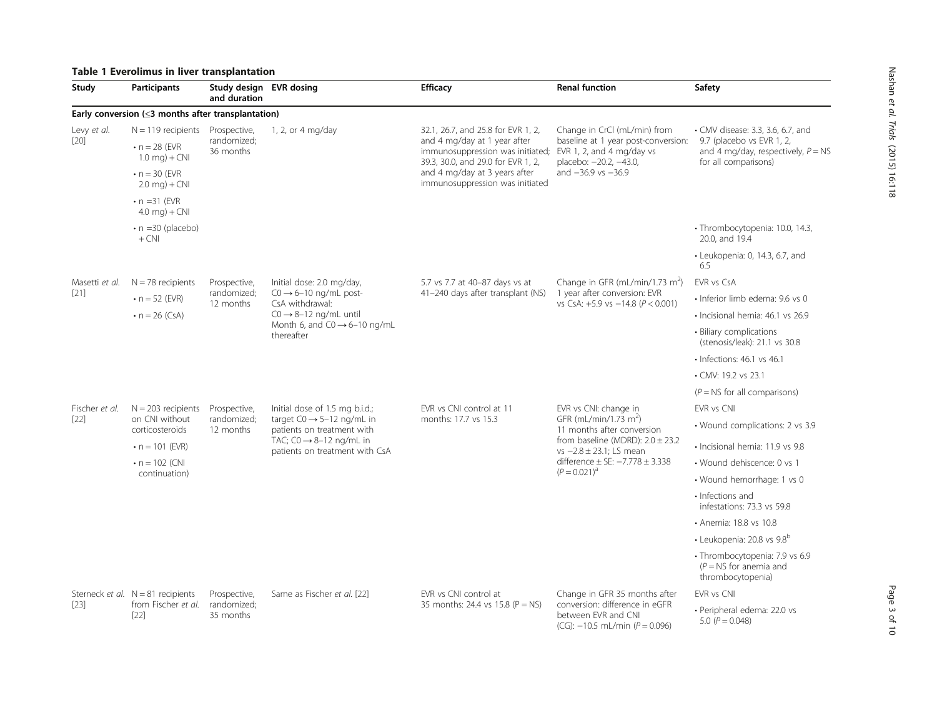# <span id="page-2-0"></span>Table 1 Everolimus in liver transplantation

| Study                 | <b>Participants</b>                                                                                                         | Study design EVR dosing<br>and duration  |                                                                                                                                                                                  | <b>Efficacy</b>                                                                                                                                                                                                  | <b>Renal function</b>                                                                                                                                                                                                            | Safety                                                                                                                         |
|-----------------------|-----------------------------------------------------------------------------------------------------------------------------|------------------------------------------|----------------------------------------------------------------------------------------------------------------------------------------------------------------------------------|------------------------------------------------------------------------------------------------------------------------------------------------------------------------------------------------------------------|----------------------------------------------------------------------------------------------------------------------------------------------------------------------------------------------------------------------------------|--------------------------------------------------------------------------------------------------------------------------------|
|                       | Early conversion $(\leq 3$ months after transplantation)                                                                    |                                          |                                                                                                                                                                                  |                                                                                                                                                                                                                  |                                                                                                                                                                                                                                  |                                                                                                                                |
| Levy et al.<br>$[20]$ | $N = 119$ recipients<br>$\cdot$ n = 28 (EVR<br>$1.0 \text{ mg}$ + CNI                                                       | Prospective,<br>randomized;<br>36 months | 1, 2, or 4 mg/day                                                                                                                                                                | 32.1, 26.7, and 25.8 for EVR 1, 2,<br>and 4 mg/day at 1 year after<br>immunosuppression was initiated;<br>39.3, 30.0, and 29.0 for EVR 1, 2,<br>and 4 mg/day at 3 years after<br>immunosuppression was initiated | Change in CrCl (mL/min) from<br>baseline at 1 year post-conversion:<br>EVR 1, 2, and 4 mg/day vs<br>placebo: -20.2, -43.0,<br>and $-36.9$ vs $-36.9$                                                                             | • CMV disease: 3.3, 3.6, 6.7, and<br>9.7 (placebo vs EVR 1, 2,<br>and 4 mg/day, respectively, $P = NS$<br>for all comparisons) |
|                       | $\cdot$ n = 30 (EVR<br>$2.0 \text{ mg}$ + CNI                                                                               |                                          |                                                                                                                                                                                  |                                                                                                                                                                                                                  |                                                                                                                                                                                                                                  |                                                                                                                                |
|                       | $\cdot$ n = 31 (EVR<br>4.0 mg) + $CNI$                                                                                      |                                          |                                                                                                                                                                                  |                                                                                                                                                                                                                  |                                                                                                                                                                                                                                  |                                                                                                                                |
|                       | $\cdot$ n =30 (placebo)<br>$+$ CNI                                                                                          |                                          |                                                                                                                                                                                  |                                                                                                                                                                                                                  |                                                                                                                                                                                                                                  | · Thrombocytopenia: 10.0, 14.3,<br>20.0, and 19.4                                                                              |
|                       |                                                                                                                             |                                          |                                                                                                                                                                                  |                                                                                                                                                                                                                  |                                                                                                                                                                                                                                  | $\cdot$ Leukopenia: 0, 14.3, 6.7, and<br>6.5                                                                                   |
| Masetti et al.        | $N = 78$ recipients                                                                                                         | Prospective,                             | Initial dose: 2.0 mg/day,<br>$CO \rightarrow 6-10$ ng/mL post-<br>CsA withdrawal:<br>$CO \rightarrow 8-12$ ng/mL until<br>Month 6, and $CO \rightarrow 6-10$ ng/mL<br>thereafter | 5.7 vs 7.7 at 40-87 days vs at<br>41-240 days after transplant (NS)                                                                                                                                              | Change in GFR (mL/min/1.73 m <sup>2</sup> )<br>1 year after conversion: EVR<br>vs CsA: $+5.9$ vs $-14.8$ ( $P < 0.001$ )                                                                                                         | <b>FVR vs CsA</b>                                                                                                              |
| $[21]$                | $\cdot$ n = 52 (EVR)                                                                                                        | randomized;<br>12 months                 |                                                                                                                                                                                  |                                                                                                                                                                                                                  |                                                                                                                                                                                                                                  | · Inferior limb edema: 9.6 ys 0                                                                                                |
|                       | • $n = 26$ (CsA)                                                                                                            |                                          |                                                                                                                                                                                  |                                                                                                                                                                                                                  |                                                                                                                                                                                                                                  | · Incisional hernia: 46.1 vs 26.9                                                                                              |
|                       |                                                                                                                             |                                          |                                                                                                                                                                                  |                                                                                                                                                                                                                  |                                                                                                                                                                                                                                  | • Biliary complications<br>(stenosis/leak): 21.1 vs 30.8                                                                       |
|                       |                                                                                                                             |                                          |                                                                                                                                                                                  |                                                                                                                                                                                                                  |                                                                                                                                                                                                                                  | $\cdot$ Infections: 46.1 vs 46.1                                                                                               |
|                       |                                                                                                                             |                                          |                                                                                                                                                                                  |                                                                                                                                                                                                                  |                                                                                                                                                                                                                                  | • CMV: 19.2 vs 23.1                                                                                                            |
|                       |                                                                                                                             |                                          |                                                                                                                                                                                  |                                                                                                                                                                                                                  |                                                                                                                                                                                                                                  | $(P = NS$ for all comparisons)                                                                                                 |
| Fischer et al.        | $N = 203$ recipients<br>on CNI without<br>corticosteroids<br>$\cdot$ n = 101 (EVR)<br>$\cdot$ n = 102 (CNI<br>continuation) | Prospective,<br>randomized;<br>12 months | Initial dose of 1.5 mg b.i.d.;<br>target $CO \rightarrow 5-12$ ng/mL in<br>patients on treatment with<br>TAC; $CO \rightarrow 8-12$ ng/mL in<br>patients on treatment with CsA   | EVR vs CNI control at 11<br>months: 17.7 vs 15.3                                                                                                                                                                 | EVR vs CNI: change in<br>GFR (mL/min/1.73 m <sup>2</sup> )<br>11 months after conversion<br>from baseline (MDRD): $2.0 \pm 23.2$<br>$vs -2.8 \pm 23.1$ : LS mean<br>difference $\pm$ SE: $-7.778 \pm 3.338$<br>$(P = 0.021)^{a}$ | EVR vs CNI                                                                                                                     |
| $[22]$                |                                                                                                                             |                                          |                                                                                                                                                                                  |                                                                                                                                                                                                                  |                                                                                                                                                                                                                                  | • Wound complications: 2 vs 3.9                                                                                                |
|                       |                                                                                                                             |                                          |                                                                                                                                                                                  |                                                                                                                                                                                                                  |                                                                                                                                                                                                                                  | · Incisional hernia: 11.9 vs 9.8                                                                                               |
|                       |                                                                                                                             |                                          |                                                                                                                                                                                  |                                                                                                                                                                                                                  |                                                                                                                                                                                                                                  | • Wound dehiscence: 0 vs 1                                                                                                     |
|                       |                                                                                                                             |                                          |                                                                                                                                                                                  |                                                                                                                                                                                                                  |                                                                                                                                                                                                                                  | • Wound hemorrhage: 1 vs 0                                                                                                     |
|                       |                                                                                                                             |                                          |                                                                                                                                                                                  |                                                                                                                                                                                                                  |                                                                                                                                                                                                                                  | • Infections and<br>infestations: 73.3 vs 59.8                                                                                 |
|                       |                                                                                                                             |                                          |                                                                                                                                                                                  |                                                                                                                                                                                                                  |                                                                                                                                                                                                                                  | · Anemia: 18.8 vs 10.8                                                                                                         |
|                       |                                                                                                                             |                                          |                                                                                                                                                                                  |                                                                                                                                                                                                                  |                                                                                                                                                                                                                                  | · Leukopenia: 20.8 vs 9.8b                                                                                                     |
|                       |                                                                                                                             |                                          |                                                                                                                                                                                  |                                                                                                                                                                                                                  |                                                                                                                                                                                                                                  | · Thrombocytopenia: 7.9 vs 6.9<br>$(P = NS$ for anemia and<br>thrombocytopenia)                                                |
| $[23]$                | Sterneck et al. $N = 81$ recipients<br>from Fischer et al.<br>$[22]$                                                        | Prospective,<br>randomized;<br>35 months | Same as Fischer et al. [22]                                                                                                                                                      | EVR vs CNI control at<br>35 months: 24.4 vs 15.8 (P = NS)                                                                                                                                                        | Change in GFR 35 months after<br>conversion: difference in eGFR<br>between EVR and CNI<br>$(CG): -10.5$ mL/min $(P = 0.096)$                                                                                                     | <b>FVR vs CNI</b>                                                                                                              |
|                       |                                                                                                                             |                                          |                                                                                                                                                                                  |                                                                                                                                                                                                                  |                                                                                                                                                                                                                                  | · Peripheral edema: 22.0 vs<br>5.0 $(P = 0.048)$                                                                               |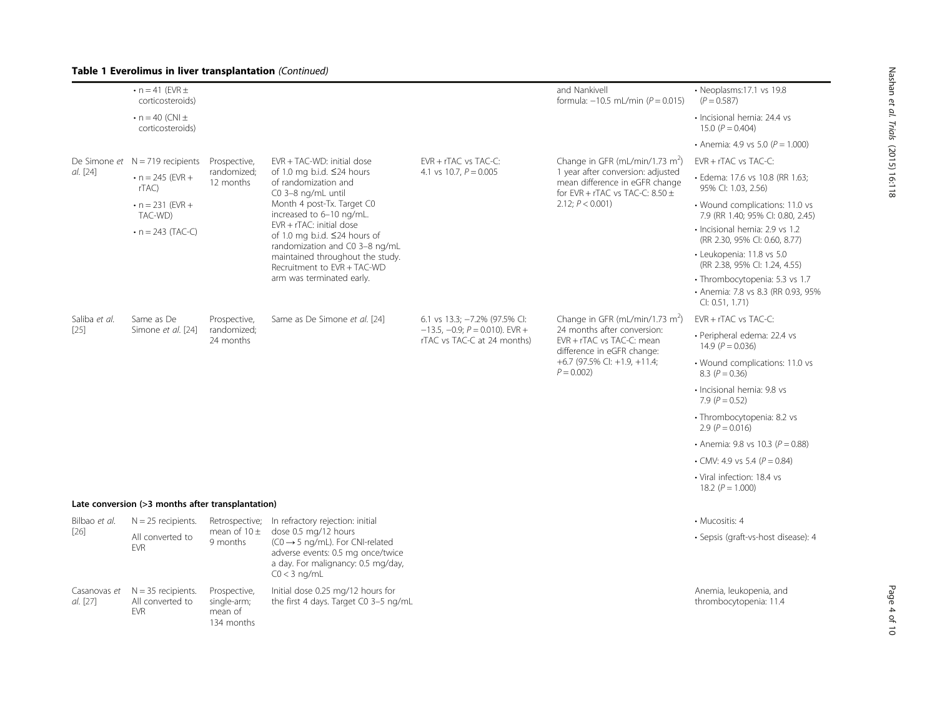# Table 1 Everolimus in liver transplantation (Continued)

|                          | $\cdot$ n = 41 (EVR $\pm$<br>corticosteroids)            |                                                      |                                                                                                                                                                                                                                                                                                                                                                                   |                                                                                                   | and Nankivell<br>formula: $-10.5$ mL/min ( $P = 0.015$ )                                                                                                                                     | · Neoplasms:17.1 vs 19.8<br>$(P = 0.587)$                                              |
|--------------------------|----------------------------------------------------------|------------------------------------------------------|-----------------------------------------------------------------------------------------------------------------------------------------------------------------------------------------------------------------------------------------------------------------------------------------------------------------------------------------------------------------------------------|---------------------------------------------------------------------------------------------------|----------------------------------------------------------------------------------------------------------------------------------------------------------------------------------------------|----------------------------------------------------------------------------------------|
|                          | $\cdot$ n = 40 (CNI $\pm$<br>corticosteroids)            |                                                      |                                                                                                                                                                                                                                                                                                                                                                                   |                                                                                                   |                                                                                                                                                                                              | · Incisional hernia: 24.4 vs<br>15.0 $(P = 0.404)$                                     |
|                          |                                                          |                                                      |                                                                                                                                                                                                                                                                                                                                                                                   |                                                                                                   |                                                                                                                                                                                              | • Anemia: 4.9 vs 5.0 ( $P = 1.000$ )                                                   |
|                          | De Simone et $N = 719$ recipients                        | Prospective,<br>randomized:<br>12 months             | $EVR + TAC-WD$ : initial dose<br>of 1.0 mg b.i.d. $\leq$ 24 hours<br>of randomization and<br>C0 3-8 ng/mL until<br>Month 4 post-Tx. Target C0<br>increased to 6-10 ng/mL.<br>$EVR + rTAC$ : initial dose<br>of 1.0 mg b.i.d. $\leq$ 24 hours of<br>randomization and C0 3-8 ng/mL<br>maintained throughout the study.<br>Recruitment to EVR + TAC-WD<br>arm was terminated early. | EVR + rTAC vs TAC-C:<br>4.1 vs 10.7, $P = 0.005$                                                  | Change in GFR (mL/min/1.73 m <sup>2</sup> )<br>1 year after conversion: adjusted<br>mean difference in eGFR change<br>for EVR + rTAC vs TAC-C: $8.50 \pm$<br>2.12; $P < 0.001$ )             | $FVR + rTAC$ vs $TAC-C$ :                                                              |
| al. [24]                 | $\cdot$ n = 245 (EVR +<br>rTAC)                          |                                                      |                                                                                                                                                                                                                                                                                                                                                                                   |                                                                                                   |                                                                                                                                                                                              | · Edema: 17.6 vs 10.8 (RR 1.63;<br>95% Cl: 1.03, 2.56)                                 |
|                          | $\cdot$ n = 231 (EVR +<br>TAC-WD)<br>• $n = 243$ (TAC-C) |                                                      |                                                                                                                                                                                                                                                                                                                                                                                   |                                                                                                   |                                                                                                                                                                                              | • Wound complications: 11.0 vs<br>7.9 (RR 1.40; 95% CI: 0.80, 2.45)                    |
|                          |                                                          |                                                      |                                                                                                                                                                                                                                                                                                                                                                                   |                                                                                                   |                                                                                                                                                                                              | · Incisional hernia: 2.9 vs 1.2<br>(RR 2.30, 95% CI: 0.60, 8.77)                       |
|                          |                                                          |                                                      |                                                                                                                                                                                                                                                                                                                                                                                   |                                                                                                   |                                                                                                                                                                                              | · Leukopenia: 11.8 vs 5.0<br>(RR 2.38, 95% CI: 1.24, 4.55)                             |
|                          |                                                          |                                                      |                                                                                                                                                                                                                                                                                                                                                                                   |                                                                                                   |                                                                                                                                                                                              | · Thrombocytopenia: 5.3 vs 1.7<br>• Anemia: 7.8 vs 8.3 (RR 0.93, 95%<br>Cl: 0.51, 1.71 |
| Saliba et al.            | Same as De<br>Simone et al. [24]                         | Prospective,<br>randomized;<br>24 months             | Same as De Simone et al. [24]                                                                                                                                                                                                                                                                                                                                                     | 6.1 vs 13.3; -7.2% (97.5% CI:<br>$-13.5, -0.9; P = 0.010$ ). EVR +<br>rTAC vs TAC-C at 24 months) | Change in GFR (mL/min/1.73 m <sup>2</sup> )<br>24 months after conversion:<br>EVR + rTAC vs TAC-C: mean<br>difference in eGFR change:<br>$+6.7$ (97.5% CI: $+1.9$ , $+11.4$ ;<br>$P = 0.002$ | EVR + rTAC vs TAC-C:                                                                   |
| $[25]$                   |                                                          |                                                      |                                                                                                                                                                                                                                                                                                                                                                                   |                                                                                                   |                                                                                                                                                                                              | · Peripheral edema: 22.4 vs<br>14.9 $(P = 0.036)$                                      |
|                          |                                                          |                                                      |                                                                                                                                                                                                                                                                                                                                                                                   |                                                                                                   |                                                                                                                                                                                              | • Wound complications: 11.0 vs<br>8.3 $(P = 0.36)$                                     |
|                          |                                                          |                                                      |                                                                                                                                                                                                                                                                                                                                                                                   |                                                                                                   |                                                                                                                                                                                              | · Incisional hernia: 9.8 vs<br>7.9 $(P = 0.52)$                                        |
|                          |                                                          |                                                      |                                                                                                                                                                                                                                                                                                                                                                                   |                                                                                                   |                                                                                                                                                                                              | · Thrombocytopenia: 8.2 vs<br>2.9 ( $P = 0.016$ )                                      |
|                          |                                                          |                                                      |                                                                                                                                                                                                                                                                                                                                                                                   |                                                                                                   |                                                                                                                                                                                              | • Anemia: 9.8 vs 10.3 ( $P = 0.88$ )                                                   |
|                          |                                                          |                                                      |                                                                                                                                                                                                                                                                                                                                                                                   |                                                                                                   |                                                                                                                                                                                              | • CMV: 4.9 vs 5.4 ( $P = 0.84$ )                                                       |
|                          |                                                          |                                                      |                                                                                                                                                                                                                                                                                                                                                                                   |                                                                                                   |                                                                                                                                                                                              | • Viral infection: 18.4 vs<br>18.2 $(P = 1.000)$                                       |
|                          | Late conversion (>3 months after transplantation)        |                                                      |                                                                                                                                                                                                                                                                                                                                                                                   |                                                                                                   |                                                                                                                                                                                              |                                                                                        |
| Bilbao et al.<br>$[26]$  | $N = 25$ recipients.                                     |                                                      | Retrospective; In refractory rejection: initial<br>dose 0.5 mg/12 hours<br>$(C0 \rightarrow 5$ ng/mL). For CNI-related<br>adverse events: 0.5 mg once/twice<br>a day. For malignancy: 0.5 mg/day,<br>$CO < 3$ ng/mL                                                                                                                                                               |                                                                                                   |                                                                                                                                                                                              | • Mucositis: 4                                                                         |
|                          | All converted to<br><b>FVR</b>                           | mean of $10 \pm$<br>9 months                         |                                                                                                                                                                                                                                                                                                                                                                                   |                                                                                                   |                                                                                                                                                                                              | · Sepsis (graft-vs-host disease): 4                                                    |
| Casanovas et<br>al. [27] | $N = 35$ recipients.<br>All converted to<br><b>EVR</b>   | Prospective,<br>single-arm;<br>mean of<br>134 months | Initial dose 0.25 mg/12 hours for<br>the first 4 days. Target C0 3-5 ng/mL                                                                                                                                                                                                                                                                                                        |                                                                                                   |                                                                                                                                                                                              | Anemia, leukopenia, and<br>thrombocytopenia: 11.4                                      |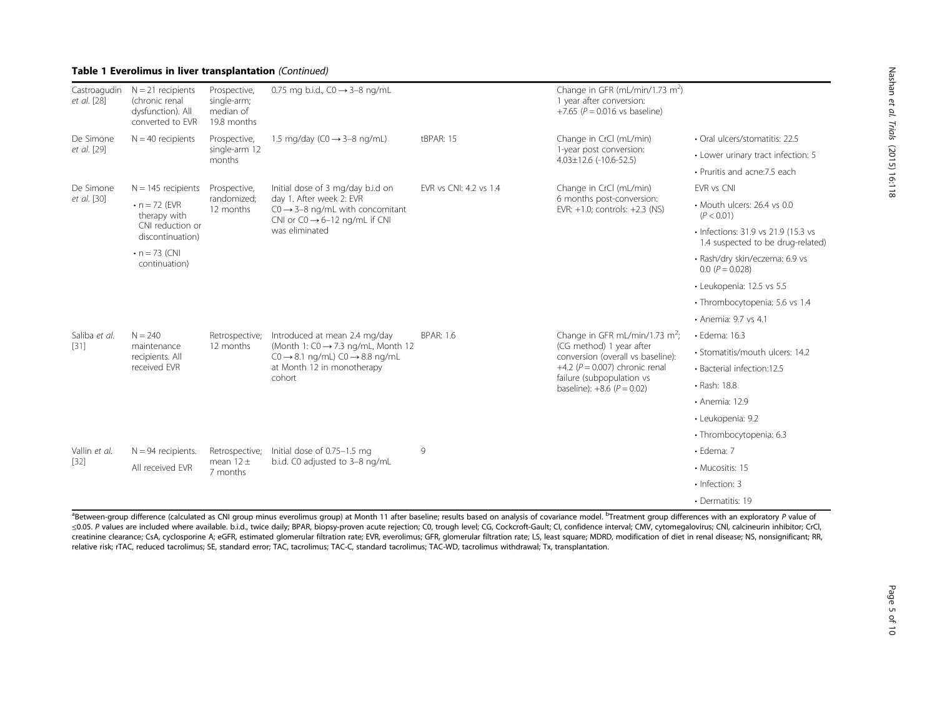# Table 1 Everolimus in liver transplantation (Continued)

| Castroagudin<br>et al. [28] | $N = 21$ recipients<br>(chronic renal<br>dysfunction). All<br>converted to EVR                                       | Prospective,<br>single-arm;<br>median of<br>19.8 months | 0.75 mg b.i.d., $CO \rightarrow 3-8$ ng/mL                                                                                                                                        |                        | Change in GFR (mL/min/1.73 m <sup>2</sup> )<br>1 year after conversion:<br>+7.65 ( $P = 0.016$ vs baseline)                                                                                                        |                                                                          |
|-----------------------------|----------------------------------------------------------------------------------------------------------------------|---------------------------------------------------------|-----------------------------------------------------------------------------------------------------------------------------------------------------------------------------------|------------------------|--------------------------------------------------------------------------------------------------------------------------------------------------------------------------------------------------------------------|--------------------------------------------------------------------------|
| De Simone<br>et al. [29]    | $N = 40$ recipients                                                                                                  | Prospective,<br>single-arm 12<br>months                 | 1.5 mg/day ( $CO \rightarrow 3-8$ ng/mL)                                                                                                                                          | tBPAR: 15              | Change in CrCl (mL/min)<br>1-year post conversion:<br>$4.03 \pm 12.6$ (-10.6-52.5)                                                                                                                                 | • Oral ulcers/stomatitis: 22.5                                           |
|                             |                                                                                                                      |                                                         |                                                                                                                                                                                   |                        |                                                                                                                                                                                                                    | • Lower urinary tract infection: 5                                       |
|                             |                                                                                                                      |                                                         |                                                                                                                                                                                   |                        |                                                                                                                                                                                                                    | • Pruritis and acne: 7.5 each                                            |
| De Simone                   | $N = 145$ recipients                                                                                                 | Prospective,                                            | Initial dose of 3 mg/day b.i.d on<br>day 1. After week 2: EVR<br>$CO \rightarrow 3-8$ ng/mL with concomitant<br>CNI or $CO \rightarrow 6-12$ ng/mL if CNI<br>was eliminated       | EVR vs CNI: 4.2 vs 1.4 | Change in CrCl (mL/min)<br>6 months post-conversion:<br>EVR: $+1.0$ ; controls: $+2.3$ (NS)                                                                                                                        | EVR vs CNI                                                               |
| et al. [30]                 | $\cdot$ n = 72 (EVR)<br>therapy with<br>CNI reduction or<br>discontinuation)<br>$\cdot$ n = 73 (CNI<br>continuation) | randomized;<br>12 months                                |                                                                                                                                                                                   |                        |                                                                                                                                                                                                                    | • Mouth ulcers: 26.4 vs 0.0<br>(P < 0.01)                                |
|                             |                                                                                                                      |                                                         |                                                                                                                                                                                   |                        |                                                                                                                                                                                                                    | • Infections: 31.9 vs 21.9 (15.3 vs<br>1.4 suspected to be drug-related) |
|                             |                                                                                                                      |                                                         |                                                                                                                                                                                   |                        |                                                                                                                                                                                                                    | · Rash/dry skin/eczema: 6.9 vs<br>$0.0 (P = 0.028)$                      |
|                             |                                                                                                                      |                                                         |                                                                                                                                                                                   |                        |                                                                                                                                                                                                                    | · Leukopenia: 12.5 vs 5.5                                                |
|                             |                                                                                                                      |                                                         |                                                                                                                                                                                   |                        |                                                                                                                                                                                                                    | · Thrombocytopenia: 5.6 vs 1.4                                           |
|                             |                                                                                                                      |                                                         |                                                                                                                                                                                   |                        |                                                                                                                                                                                                                    | • Anemia: 9.7 vs 4.1                                                     |
| Saliba et al.               | $N = 240$<br>maintenance<br>recipients. All<br>received EVR                                                          | Retrospective;<br>12 months                             | Introduced at mean 2.4 mg/day<br>(Month 1: $CO \rightarrow 7.3$ ng/mL, Month 12<br>$CO \rightarrow 8.1$ ng/mL) $CO \rightarrow 8.8$ ng/mL<br>at Month 12 in monotherapy<br>cohort | <b>BPAR: 1.6</b>       | Change in GFR mL/min/1.73 m <sup>2</sup> ;<br>(CG method) 1 year after<br>conversion (overall vs baseline):<br>+4.2 ( $P = 0.007$ ) chronic renal<br>failure (subpopulation vs<br>baseline): $+8.6$ ( $P = 0.02$ ) | · Edema: 16.3                                                            |
| [31]                        |                                                                                                                      |                                                         |                                                                                                                                                                                   |                        |                                                                                                                                                                                                                    | · Stomatitis/mouth ulcers: 14.2                                          |
|                             |                                                                                                                      |                                                         |                                                                                                                                                                                   |                        |                                                                                                                                                                                                                    | • Bacterial infection:12.5                                               |
|                             |                                                                                                                      |                                                         |                                                                                                                                                                                   |                        |                                                                                                                                                                                                                    | • Rash: 18.8                                                             |
|                             |                                                                                                                      |                                                         |                                                                                                                                                                                   |                        |                                                                                                                                                                                                                    | • Anemia: 12.9                                                           |
|                             |                                                                                                                      |                                                         |                                                                                                                                                                                   |                        |                                                                                                                                                                                                                    | · Leukopenia: 9.2                                                        |
|                             |                                                                                                                      |                                                         |                                                                                                                                                                                   |                        |                                                                                                                                                                                                                    | · Thrombocytopenia: 6.3                                                  |
| Vallin et al.<br>$[32]$     | $N = 94$ recipients.                                                                                                 | Retrospective;                                          | Initial dose of 0.75-1.5 mg<br>b.i.d. C0 adjusted to 3-8 ng/mL                                                                                                                    | 9                      |                                                                                                                                                                                                                    | $\cdot$ Edema: 7                                                         |
|                             | All received EVR                                                                                                     | mean $12 \pm$<br>7 months                               |                                                                                                                                                                                   |                        |                                                                                                                                                                                                                    | • Mucositis: 15                                                          |
|                             |                                                                                                                      |                                                         |                                                                                                                                                                                   |                        |                                                                                                                                                                                                                    | · Infection: 3                                                           |
|                             |                                                                                                                      |                                                         |                                                                                                                                                                                   |                        |                                                                                                                                                                                                                    | • Dermatitis: 19                                                         |

<sup>a</sup>Between-group difference (calculated as CNI group minus everolimus group) at Month 11 after baseline; results based on analysis of covariance model. <sup>b</sup>Treatment group differences with an exploratory P value of ≤0.05. P values are included where available. b.i.d., twice daily; BPAR, biopsy-proven acute rejection; C0, trough level; CG, Cockcroft-Gault; CI, confidence interval; CMV, cytomegalovirus; CNI, calcineurin inhibitor; CrCl, creatinine clearance; CsA, cyclosporine A; eGFR, estimated glomerular filtration rate; EVR, everolimus; GFR, glomerular filtration rate; LS, least square; MDRD, modification of diet in renal disease; NS, nonsignificant; RR, relative risk; rTAC, reduced tacrolimus; SE, standard error; TAC, tacrolimus; TAC-C, standard tacrolimus; TAC-WD, tacrolimus withdrawal; Tx, transplantation.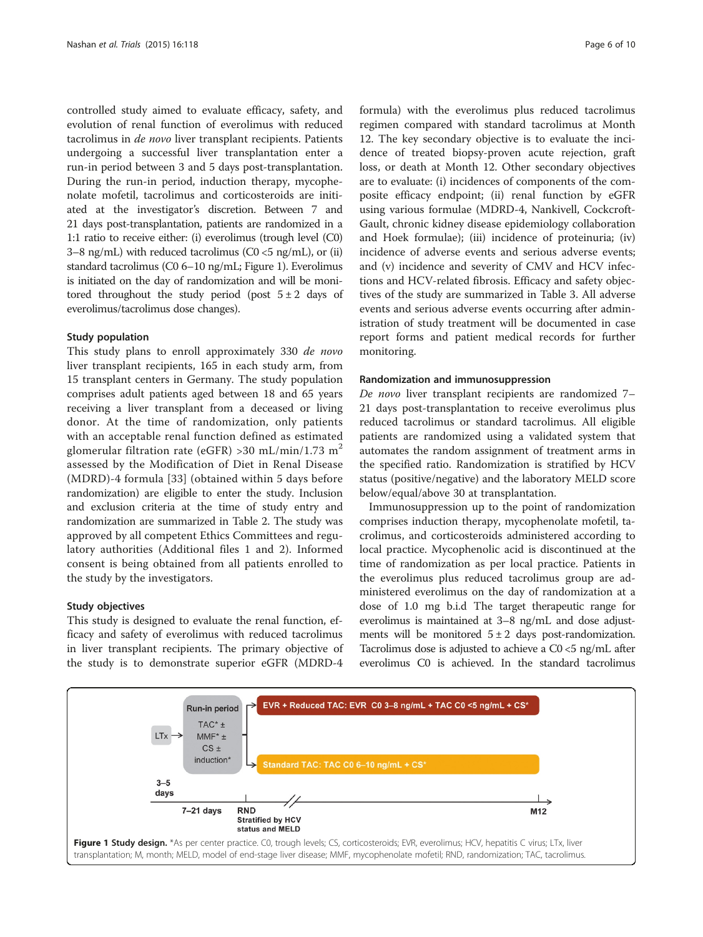controlled study aimed to evaluate efficacy, safety, and evolution of renal function of everolimus with reduced tacrolimus in de novo liver transplant recipients. Patients undergoing a successful liver transplantation enter a run-in period between 3 and 5 days post-transplantation. During the run-in period, induction therapy, mycophenolate mofetil, tacrolimus and corticosteroids are initiated at the investigator's discretion. Between 7 and 21 days post-transplantation, patients are randomized in a 1:1 ratio to receive either: (i) everolimus (trough level (C0) 3–8 ng/mL) with reduced tacrolimus ( $CO < 5$  ng/mL), or (ii) standard tacrolimus (C0 6–10 ng/mL; Figure 1). Everolimus is initiated on the day of randomization and will be monitored throughout the study period (post  $5\pm 2$  days of everolimus/tacrolimus dose changes).

# Study population

This study plans to enroll approximately 330 de novo liver transplant recipients, 165 in each study arm, from 15 transplant centers in Germany. The study population comprises adult patients aged between 18 and 65 years receiving a liver transplant from a deceased or living donor. At the time of randomization, only patients with an acceptable renal function defined as estimated glomerular filtration rate (eGFR) >30 mL/min/1.73 m<sup>2</sup> assessed by the Modification of Diet in Renal Disease (MDRD)-4 formula [[33](#page-9-0)] (obtained within 5 days before randomization) are eligible to enter the study. Inclusion and exclusion criteria at the time of study entry and randomization are summarized in Table [2.](#page-6-0) The study was approved by all competent Ethics Committees and regulatory authorities (Additional files [1](#page-8-0) and [2\)](#page-8-0). Informed consent is being obtained from all patients enrolled to the study by the investigators.

# Study objectives

This study is designed to evaluate the renal function, efficacy and safety of everolimus with reduced tacrolimus in liver transplant recipients. The primary objective of the study is to demonstrate superior eGFR (MDRD-4

formula) with the everolimus plus reduced tacrolimus regimen compared with standard tacrolimus at Month 12. The key secondary objective is to evaluate the incidence of treated biopsy-proven acute rejection, graft loss, or death at Month 12. Other secondary objectives are to evaluate: (i) incidences of components of the composite efficacy endpoint; (ii) renal function by eGFR using various formulae (MDRD-4, Nankivell, Cockcroft-Gault, chronic kidney disease epidemiology collaboration and Hoek formulae); (iii) incidence of proteinuria; (iv) incidence of adverse events and serious adverse events; and (v) incidence and severity of CMV and HCV infections and HCV-related fibrosis. Efficacy and safety objectives of the study are summarized in Table [3.](#page-7-0) All adverse events and serious adverse events occurring after administration of study treatment will be documented in case report forms and patient medical records for further monitoring.

## Randomization and immunosuppression

De novo liver transplant recipients are randomized 7– 21 days post-transplantation to receive everolimus plus reduced tacrolimus or standard tacrolimus. All eligible patients are randomized using a validated system that automates the random assignment of treatment arms in the specified ratio. Randomization is stratified by HCV status (positive/negative) and the laboratory MELD score below/equal/above 30 at transplantation.

Immunosuppression up to the point of randomization comprises induction therapy, mycophenolate mofetil, tacrolimus, and corticosteroids administered according to local practice. Mycophenolic acid is discontinued at the time of randomization as per local practice. Patients in the everolimus plus reduced tacrolimus group are administered everolimus on the day of randomization at a dose of 1.0 mg b.i.d The target therapeutic range for everolimus is maintained at 3–8 ng/mL and dose adjustments will be monitored  $5 \pm 2$  days post-randomization. Tacrolimus dose is adjusted to achieve a C0 <5 ng/mL after everolimus C0 is achieved. In the standard tacrolimus

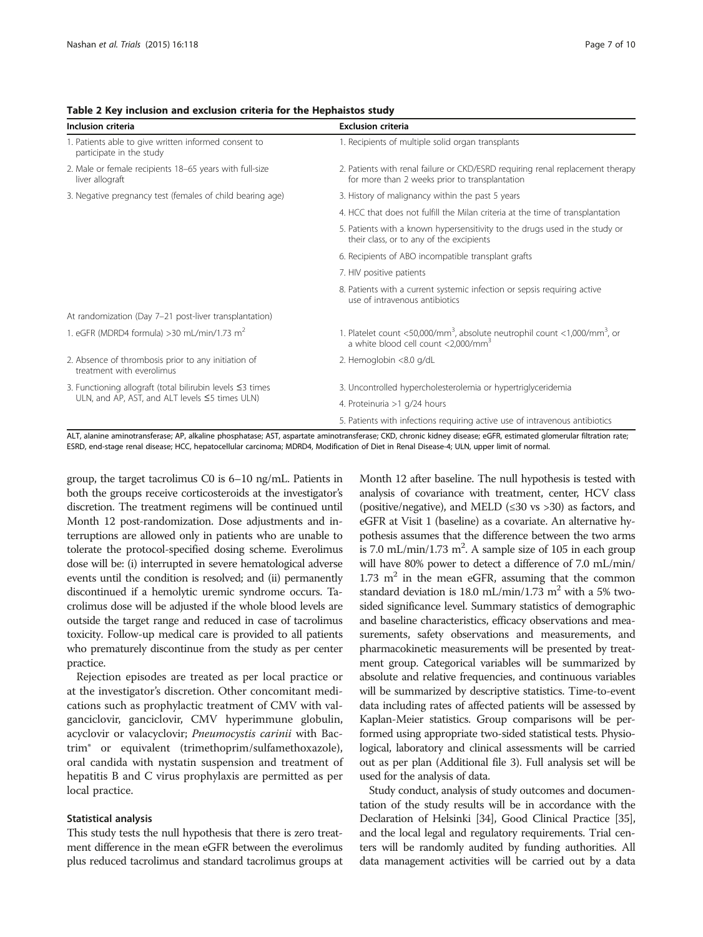| Inclusion criteria                                                               | <b>Exclusion criteria</b>                                                                                                                            |  |  |
|----------------------------------------------------------------------------------|------------------------------------------------------------------------------------------------------------------------------------------------------|--|--|
| 1. Patients able to give written informed consent to<br>participate in the study | 1. Recipients of multiple solid organ transplants                                                                                                    |  |  |
| 2. Male or female recipients 18-65 years with full-size<br>liver allograft       | 2. Patients with renal failure or CKD/ESRD requiring renal replacement therapy<br>for more than 2 weeks prior to transplantation                     |  |  |
| 3. Negative pregnancy test (females of child bearing age)                        | 3. History of malignancy within the past 5 years                                                                                                     |  |  |
|                                                                                  | 4. HCC that does not fulfill the Milan criteria at the time of transplantation                                                                       |  |  |
|                                                                                  | 5. Patients with a known hypersensitivity to the drugs used in the study or<br>their class, or to any of the excipients                              |  |  |
|                                                                                  | 6. Recipients of ABO incompatible transplant grafts                                                                                                  |  |  |
|                                                                                  | 7. HIV positive patients                                                                                                                             |  |  |
|                                                                                  | 8. Patients with a current systemic infection or sepsis requiring active<br>use of intravenous antibiotics                                           |  |  |
| At randomization (Day 7-21 post-liver transplantation)                           |                                                                                                                                                      |  |  |
| 1. eGFR (MDRD4 formula) > 30 mL/min/1.73 m <sup>2</sup>                          | 1. Platelet count <50,000/mm <sup>3</sup> , absolute neutrophil count <1,000/mm <sup>3</sup> , or<br>a white blood cell count <2,000/mm <sup>3</sup> |  |  |
| 2. Absence of thrombosis prior to any initiation of<br>treatment with everolimus | 2. Hemoglobin <8.0 g/dL                                                                                                                              |  |  |
| 3. Functioning allograft (total bilirubin levels $\leq$ 3 times                  | 3. Uncontrolled hypercholesterolemia or hypertriglyceridemia                                                                                         |  |  |
| ULN, and AP, AST, and ALT levels ≤5 times ULN)                                   | 4. Proteinuria >1 g/24 hours                                                                                                                         |  |  |
|                                                                                  | 5. Patients with infections requiring active use of intravenous antibiotics                                                                          |  |  |

<span id="page-6-0"></span>Table 2 Key inclusion and exclusion criteria for the Hephaistos study

ALT, alanine aminotransferase; AP, alkaline phosphatase; AST, aspartate aminotransferase; CKD, chronic kidney disease; eGFR, estimated glomerular filtration rate; ESRD, end-stage renal disease; HCC, hepatocellular carcinoma; MDRD4, Modification of Diet in Renal Disease-4; ULN, upper limit of normal.

group, the target tacrolimus C0 is 6–10 ng/mL. Patients in both the groups receive corticosteroids at the investigator's discretion. The treatment regimens will be continued until Month 12 post-randomization. Dose adjustments and interruptions are allowed only in patients who are unable to tolerate the protocol-specified dosing scheme. Everolimus dose will be: (i) interrupted in severe hematological adverse events until the condition is resolved; and (ii) permanently discontinued if a hemolytic uremic syndrome occurs. Tacrolimus dose will be adjusted if the whole blood levels are outside the target range and reduced in case of tacrolimus toxicity. Follow-up medical care is provided to all patients who prematurely discontinue from the study as per center practice.

Rejection episodes are treated as per local practice or at the investigator's discretion. Other concomitant medications such as prophylactic treatment of CMV with valganciclovir, ganciclovir, CMV hyperimmune globulin, acyclovir or valacyclovir; Pneumocystis carinii with Bactrim® or equivalent (trimethoprim/sulfamethoxazole), oral candida with nystatin suspension and treatment of hepatitis B and C virus prophylaxis are permitted as per local practice.

# Statistical analysis

This study tests the null hypothesis that there is zero treatment difference in the mean eGFR between the everolimus plus reduced tacrolimus and standard tacrolimus groups at

Month 12 after baseline. The null hypothesis is tested with analysis of covariance with treatment, center, HCV class (positive/negative), and MELD ( $\leq 30$  vs  $> 30$ ) as factors, and eGFR at Visit 1 (baseline) as a covariate. An alternative hypothesis assumes that the difference between the two arms is 7.0 mL/min/1.73  $m^2$ . A sample size of 105 in each group will have 80% power to detect a difference of 7.0 mL/min/ 1.73  $m<sup>2</sup>$  in the mean eGFR, assuming that the common standard deviation is 18.0 mL/min/1.73 m<sup>2</sup> with a 5% twosided significance level. Summary statistics of demographic and baseline characteristics, efficacy observations and measurements, safety observations and measurements, and pharmacokinetic measurements will be presented by treatment group. Categorical variables will be summarized by absolute and relative frequencies, and continuous variables will be summarized by descriptive statistics. Time-to-event data including rates of affected patients will be assessed by Kaplan-Meier statistics. Group comparisons will be performed using appropriate two-sided statistical tests. Physiological, laboratory and clinical assessments will be carried out as per plan (Additional file [3](#page-8-0)). Full analysis set will be used for the analysis of data.

Study conduct, analysis of study outcomes and documentation of the study results will be in accordance with the Declaration of Helsinki [\[34\]](#page-9-0), Good Clinical Practice [\[35](#page-9-0)], and the local legal and regulatory requirements. Trial centers will be randomly audited by funding authorities. All data management activities will be carried out by a data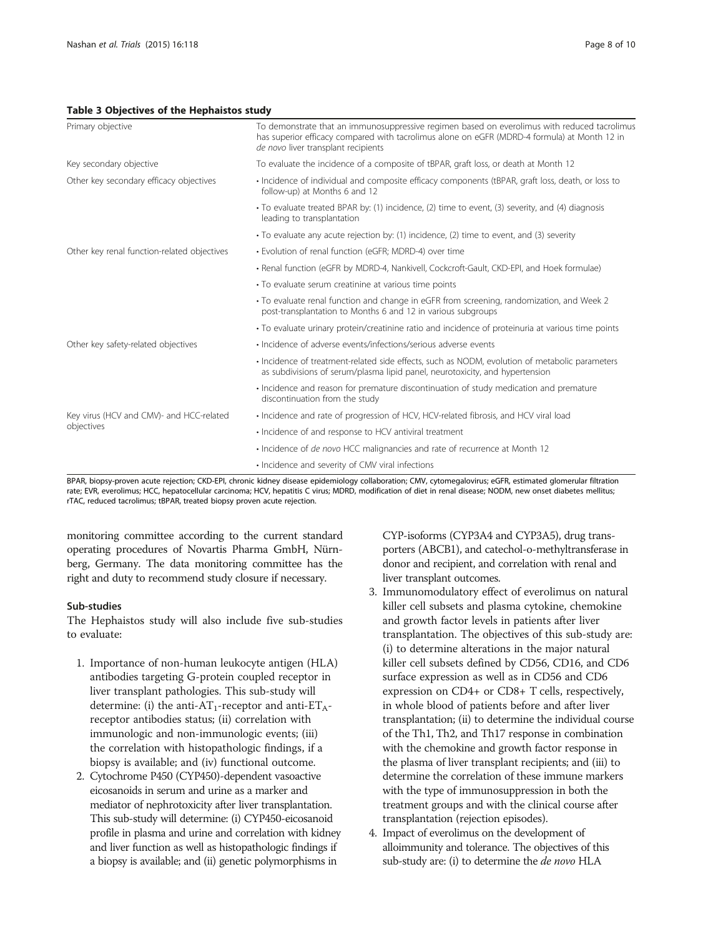# <span id="page-7-0"></span>Table 3 Objectives of the Hephaistos study

| Primary objective                           | To demonstrate that an immunosuppressive regimen based on everolimus with reduced tacrolimus<br>has superior efficacy compared with tacrolimus alone on eGFR (MDRD-4 formula) at Month 12 in<br>de novo liver transplant recipients |  |  |  |
|---------------------------------------------|-------------------------------------------------------------------------------------------------------------------------------------------------------------------------------------------------------------------------------------|--|--|--|
| Key secondary objective                     | To evaluate the incidence of a composite of tBPAR, graft loss, or death at Month 12                                                                                                                                                 |  |  |  |
| Other key secondary efficacy objectives     | • Incidence of individual and composite efficacy components (tBPAR, graft loss, death, or loss to<br>follow-up) at Months 6 and 12                                                                                                  |  |  |  |
|                                             | • To evaluate treated BPAR by: (1) incidence, (2) time to event, (3) severity, and (4) diagnosis<br>leading to transplantation                                                                                                      |  |  |  |
|                                             | • To evaluate any acute rejection by: (1) incidence, (2) time to event, and (3) severity                                                                                                                                            |  |  |  |
| Other key renal function-related objectives | • Evolution of renal function (eGFR; MDRD-4) over time                                                                                                                                                                              |  |  |  |
|                                             | • Renal function (eGFR by MDRD-4, Nankivell, Cockcroft-Gault, CKD-EPI, and Hoek formulae)                                                                                                                                           |  |  |  |
|                                             | • To evaluate serum creatinine at various time points                                                                                                                                                                               |  |  |  |
|                                             | • To evaluate renal function and change in eGFR from screening, randomization, and Week 2<br>post-transplantation to Months 6 and 12 in various subgroups                                                                           |  |  |  |
|                                             | • To evaluate urinary protein/creatinine ratio and incidence of proteinuria at various time points                                                                                                                                  |  |  |  |
| Other key safety-related objectives         | • Incidence of adverse events/infections/serious adverse events                                                                                                                                                                     |  |  |  |
|                                             | • Incidence of treatment-related side effects, such as NODM, evolution of metabolic parameters<br>as subdivisions of serum/plasma lipid panel, neurotoxicity, and hypertension                                                      |  |  |  |
|                                             | · Incidence and reason for premature discontinuation of study medication and premature<br>discontinuation from the study                                                                                                            |  |  |  |
| Key virus (HCV and CMV)- and HCC-related    | • Incidence and rate of progression of HCV, HCV-related fibrosis, and HCV viral load                                                                                                                                                |  |  |  |
| objectives                                  | • Incidence of and response to HCV antiviral treatment                                                                                                                                                                              |  |  |  |
|                                             | · Incidence of de novo HCC malignancies and rate of recurrence at Month 12                                                                                                                                                          |  |  |  |
|                                             | • Incidence and severity of CMV viral infections                                                                                                                                                                                    |  |  |  |

BPAR, biopsy-proven acute rejection; CKD-EPI, chronic kidney disease epidemiology collaboration; CMV, cytomegalovirus; eGFR, estimated glomerular filtration rate; EVR, everolimus; HCC, hepatocellular carcinoma; HCV, hepatitis C virus; MDRD, modification of diet in renal disease; NODM, new onset diabetes mellitus; rTAC, reduced tacrolimus; tBPAR, treated biopsy proven acute rejection.

monitoring committee according to the current standard operating procedures of Novartis Pharma GmbH, Nürnberg, Germany. The data monitoring committee has the right and duty to recommend study closure if necessary.

# Sub-studies

The Hephaistos study will also include five sub-studies to evaluate:

- 1. Importance of non-human leukocyte antigen (HLA) antibodies targeting G-protein coupled receptor in liver transplant pathologies. This sub-study will determine: (i) the anti-AT<sub>1</sub>-receptor and anti-ET<sub>A</sub>receptor antibodies status; (ii) correlation with immunologic and non-immunologic events; (iii) the correlation with histopathologic findings, if a biopsy is available; and (iv) functional outcome.
- 2. Cytochrome P450 (CYP450)-dependent vasoactive eicosanoids in serum and urine as a marker and mediator of nephrotoxicity after liver transplantation. This sub-study will determine: (i) CYP450-eicosanoid profile in plasma and urine and correlation with kidney and liver function as well as histopathologic findings if a biopsy is available; and (ii) genetic polymorphisms in

CYP-isoforms (CYP3A4 and CYP3A5), drug transporters (ABCB1), and catechol-o-methyltransferase in donor and recipient, and correlation with renal and liver transplant outcomes.

- 3. Immunomodulatory effect of everolimus on natural killer cell subsets and plasma cytokine, chemokine and growth factor levels in patients after liver transplantation. The objectives of this sub-study are: (i) to determine alterations in the major natural killer cell subsets defined by CD56, CD16, and CD6 surface expression as well as in CD56 and CD6 expression on CD4+ or CD8+ T cells, respectively, in whole blood of patients before and after liver transplantation; (ii) to determine the individual course of the Th1, Th2, and Th17 response in combination with the chemokine and growth factor response in the plasma of liver transplant recipients; and (iii) to determine the correlation of these immune markers with the type of immunosuppression in both the treatment groups and with the clinical course after transplantation (rejection episodes).
- 4. Impact of everolimus on the development of alloimmunity and tolerance. The objectives of this sub-study are: (i) to determine the de novo HLA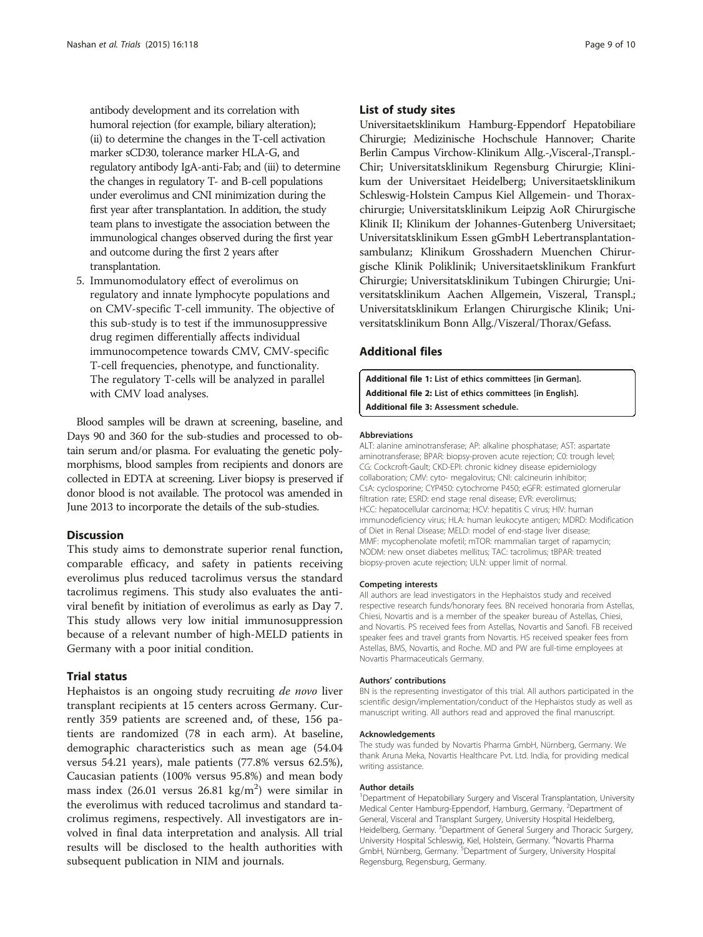<span id="page-8-0"></span>antibody development and its correlation with humoral rejection (for example, biliary alteration); (ii) to determine the changes in the T-cell activation marker sCD30, tolerance marker HLA-G, and regulatory antibody IgA-anti-Fab; and (iii) to determine the changes in regulatory T- and B-cell populations under everolimus and CNI minimization during the first year after transplantation. In addition, the study team plans to investigate the association between the immunological changes observed during the first year and outcome during the first 2 years after transplantation.

5. Immunomodulatory effect of everolimus on regulatory and innate lymphocyte populations and on CMV-specific T-cell immunity. The objective of this sub-study is to test if the immunosuppressive drug regimen differentially affects individual immunocompetence towards CMV, CMV-specific T-cell frequencies, phenotype, and functionality. The regulatory T-cells will be analyzed in parallel with CMV load analyses.

Blood samples will be drawn at screening, baseline, and Days 90 and 360 for the sub-studies and processed to obtain serum and/or plasma. For evaluating the genetic polymorphisms, blood samples from recipients and donors are collected in EDTA at screening. Liver biopsy is preserved if donor blood is not available. The protocol was amended in June 2013 to incorporate the details of the sub-studies.

# Discussion

This study aims to demonstrate superior renal function, comparable efficacy, and safety in patients receiving everolimus plus reduced tacrolimus versus the standard tacrolimus regimens. This study also evaluates the antiviral benefit by initiation of everolimus as early as Day 7. This study allows very low initial immunosuppression because of a relevant number of high-MELD patients in Germany with a poor initial condition.

# Trial status

Hephaistos is an ongoing study recruiting de novo liver transplant recipients at 15 centers across Germany. Currently 359 patients are screened and, of these, 156 patients are randomized (78 in each arm). At baseline, demographic characteristics such as mean age (54.04 versus 54.21 years), male patients (77.8% versus 62.5%), Caucasian patients (100% versus 95.8%) and mean body mass index (26.01 versus 26.81  $\text{kg/m}^2$ ) were similar in the everolimus with reduced tacrolimus and standard tacrolimus regimens, respectively. All investigators are involved in final data interpretation and analysis. All trial results will be disclosed to the health authorities with subsequent publication in NIM and journals.

# List of study sites

Universitaetsklinikum Hamburg-Eppendorf Hepatobiliare Chirurgie; Medizinische Hochschule Hannover; Charite Berlin Campus Virchow-Klinikum Allg.-,Visceral-,Transpl.- Chir; Universitatsklinikum Regensburg Chirurgie; Klinikum der Universitaet Heidelberg; Universitaetsklinikum Schleswig-Holstein Campus Kiel Allgemein- und Thoraxchirurgie; Universitatsklinikum Leipzig AoR Chirurgische Klinik II; Klinikum der Johannes-Gutenberg Universitaet; Universitatsklinikum Essen gGmbH Lebertransplantationsambulanz; Klinikum Grosshadern Muenchen Chirurgische Klinik Poliklinik; Universitaetsklinikum Frankfurt Chirurgie; Universitatsklinikum Tubingen Chirurgie; Universitatsklinikum Aachen Allgemein, Viszeral, Transpl.; Universitatsklinikum Erlangen Chirurgische Klinik; Universitatsklinikum Bonn Allg./Viszeral/Thorax/Gefass.

# Additional files

[Additional file 1:](http://www.trialsjournal.com/content/supplementary/s13063-015-0626-0-s1.pdf) List of ethics committees [in German]. [Additional file 2:](http://www.trialsjournal.com/content/supplementary/s13063-015-0626-0-s2.pdf) List of ethics committees [in English]. [Additional file 3:](http://www.trialsjournal.com/content/supplementary/s13063-015-0626-0-s3.pdf) Assessment schedule.

#### Abbreviations

ALT: alanine aminotransferase; AP: alkaline phosphatase; AST: aspartate aminotransferase; BPAR: biopsy-proven acute rejection; C0: trough level; CG: Cockcroft-Gault; CKD-EPI: chronic kidney disease epidemiology collaboration; CMV: cyto- megalovirus; CNI: calcineurin inhibitor; CsA: cyclosporine; CYP450: cytochrome P450; eGFR: estimated glomerular filtration rate; ESRD: end stage renal disease; EVR: everolimus; HCC: hepatocellular carcinoma; HCV: hepatitis C virus; HIV: human immunodeficiency virus; HLA: human leukocyte antigen; MDRD: Modification of Diet in Renal Disease; MELD: model of end-stage liver disease; MMF: mycophenolate mofetil; mTOR: mammalian target of rapamycin; NODM: new onset diabetes mellitus; TAC: tacrolimus; tBPAR: treated biopsy-proven acute rejection; ULN: upper limit of normal.

#### Competing interests

All authors are lead investigators in the Hephaistos study and received respective research funds/honorary fees. BN received honoraria from Astellas, Chiesi, Novartis and is a member of the speaker bureau of Astellas, Chiesi, and Novartis. PS received fees from Astellas, Novartis and Sanofi. FB received speaker fees and travel grants from Novartis. HS received speaker fees from Astellas, BMS, Novartis, and Roche. MD and PW are full-time employees at Novartis Pharmaceuticals Germany.

#### Authors' contributions

BN is the representing investigator of this trial. All authors participated in the scientific design/implementation/conduct of the Hephaistos study as well as manuscript writing. All authors read and approved the final manuscript.

#### Acknowledgements

The study was funded by Novartis Pharma GmbH, Nürnberg, Germany. We thank Aruna Meka, Novartis Healthcare Pvt. Ltd. India, for providing medical writing assistance.

#### Author details

<sup>1</sup>Department of Hepatobiliary Surgery and Visceral Transplantation, University Medical Center Hamburg-Eppendorf, Hamburg, Germany. <sup>2</sup>Department of General, Visceral and Transplant Surgery, University Hospital Heidelberg, Heidelberg, Germany. <sup>3</sup>Department of General Surgery and Thoracic Surgery University Hospital Schleswig, Kiel, Holstein, Germany. <sup>4</sup>Novartis Pharma GmbH, Nürnberg, Germany.<sup>5</sup> Department of Surgery, University Hospital Regensburg, Regensburg, Germany.